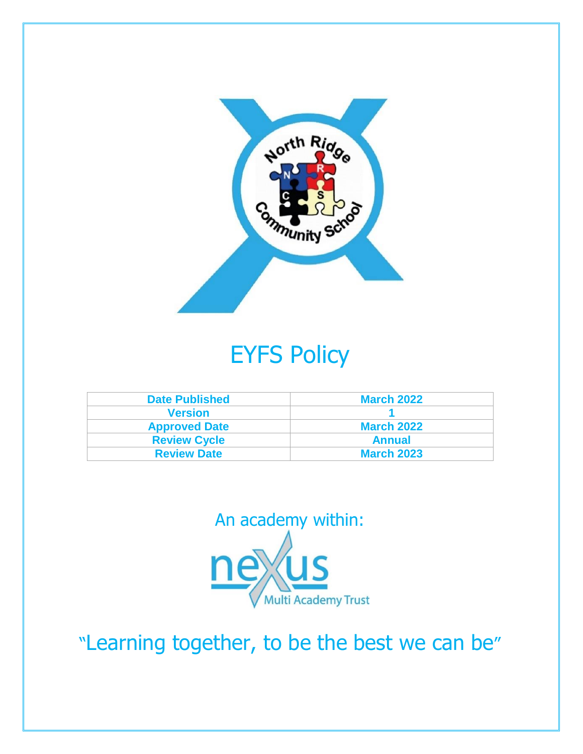

# EYFS Policy

| <b>Date Published</b> | <b>March 2022</b> |
|-----------------------|-------------------|
| <b>Version</b>        |                   |
| <b>Approved Date</b>  | <b>March 2022</b> |
| <b>Review Cycle</b>   | <b>Annual</b>     |
| <b>Review Date</b>    | <b>March 2023</b> |



"Learning together, to be the best we can be"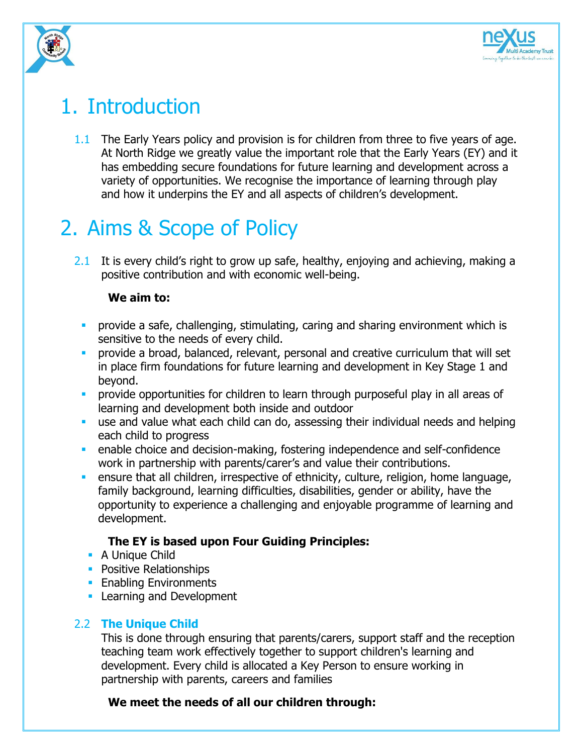



## 1. Introduction

1.1 The Early Years policy and provision is for children from three to five years of age. At North Ridge we greatly value the important role that the Early Years (EY) and it has embedding secure foundations for future learning and development across a variety of opportunities. We recognise the importance of learning through play and how it underpins the EY and all aspects of children's development.

# 2. Aims & Scope of Policy

2.1 It is every child's right to grow up safe, healthy, enjoying and achieving, making a positive contribution and with economic well-being.

### **We aim to:**

- **•** provide a safe, challenging, stimulating, caring and sharing environment which is sensitive to the needs of every child.
- **•** provide a broad, balanced, relevant, personal and creative curriculum that will set in place firm foundations for future learning and development in Key Stage 1 and beyond.
- **•** provide opportunities for children to learn through purposeful play in all areas of learning and development both inside and outdoor
- use and value what each child can do, assessing their individual needs and helping each child to progress
- **•** enable choice and decision-making, fostering independence and self-confidence work in partnership with parents/carer's and value their contributions.
- **EXED** ensure that all children, irrespective of ethnicity, culture, religion, home language, family background, learning difficulties, disabilities, gender or ability, have the opportunity to experience a challenging and enjoyable programme of learning and development.

### **The EY is based upon Four Guiding Principles:**

- A Unique Child
- **Positive Relationships**
- **Enabling Environments**
- **Exercise 1 Learning and Development**

### 2.2 **The Unique Child**

This is done through ensuring that parents/carers, support staff and the reception teaching team work effectively together to support children's learning and development. Every child is allocated a Key Person to ensure working in partnership with parents, careers and families

### **We meet the needs of all our children through:**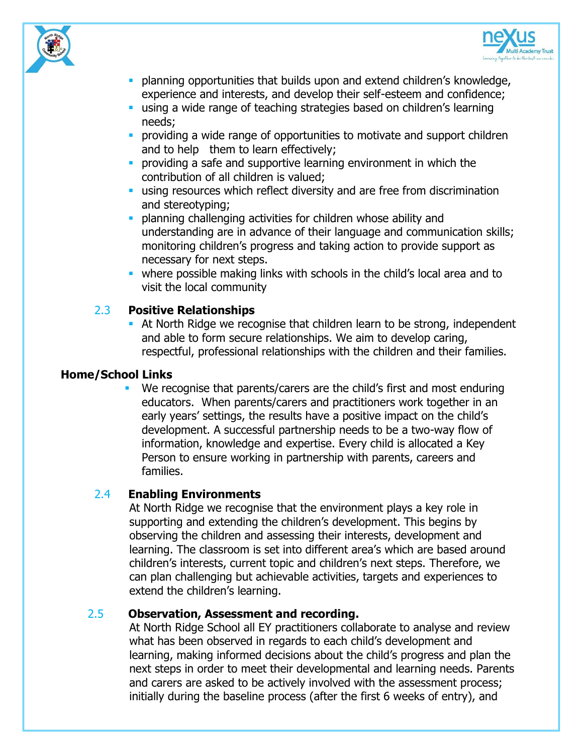



- **planning opportunities that builds upon and extend children's knowledge,** experience and interests, and develop their self-esteem and confidence;
- **E** using a wide range of teaching strategies based on children's learning needs;
- **•** providing a wide range of opportunities to motivate and support children and to help them to learn effectively;
- **•** providing a safe and supportive learning environment in which the contribution of all children is valued;
- **using resources which reflect diversity and are free from discrimination** and stereotyping;
- **planning challenging activities for children whose ability and** understanding are in advance of their language and communication skills; monitoring children's progress and taking action to provide support as necessary for next steps.
- where possible making links with schools in the child's local area and to visit the local community

### 2.3 **Positive Relationships**

**EXECT** At North Ridge we recognise that children learn to be strong, independent and able to form secure relationships. We aim to develop caring, respectful, professional relationships with the children and their families.

#### **Home/School Links**

We recognise that parents/carers are the child's first and most enduring educators. When parents/carers and practitioners work together in an early years' settings, the results have a positive impact on the child's development. A successful partnership needs to be a two-way flow of information, knowledge and expertise. Every child is allocated a Key Person to ensure working in partnership with parents, careers and families.

### 2.4 **Enabling Environments**

At North Ridge we recognise that the environment plays a key role in supporting and extending the children's development. This begins by observing the children and assessing their interests, development and learning. The classroom is set into different area's which are based around children's interests, current topic and children's next steps. Therefore, we can plan challenging but achievable activities, targets and experiences to extend the children's learning.

#### 2.5 **Observation, Assessment and recording.**

At North Ridge School all EY practitioners collaborate to analyse and review what has been observed in regards to each child's development and learning, making informed decisions about the child's progress and plan the next steps in order to meet their developmental and learning needs. Parents and carers are asked to be actively involved with the assessment process; initially during the baseline process (after the first 6 weeks of entry), and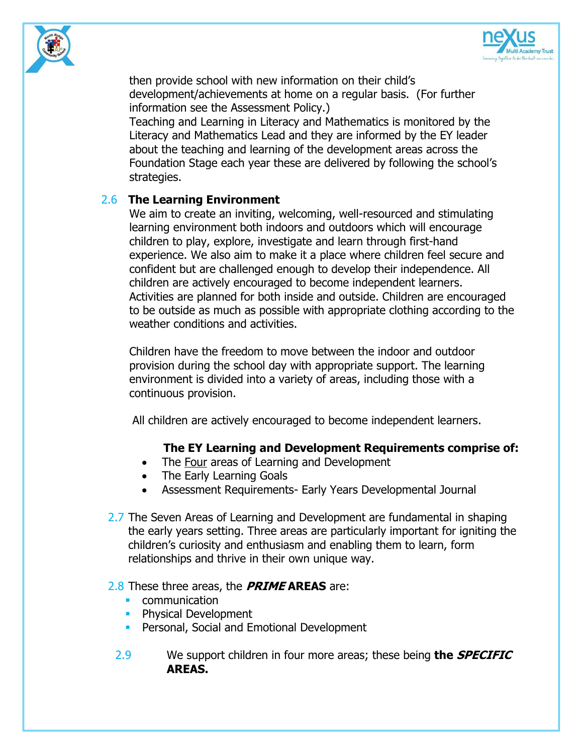



then provide school with new information on their child's development/achievements at home on a regular basis. (For further information see the Assessment Policy.)

Teaching and Learning in Literacy and Mathematics is monitored by the Literacy and Mathematics Lead and they are informed by the EY leader about the teaching and learning of the development areas across the Foundation Stage each year these are delivered by following the school's strategies.

#### 2.6 **The Learning Environment**

We aim to create an inviting, welcoming, well-resourced and stimulating learning environment both indoors and outdoors which will encourage children to play, explore, investigate and learn through first-hand experience. We also aim to make it a place where children feel secure and confident but are challenged enough to develop their independence. All children are actively encouraged to become independent learners. Activities are planned for both inside and outside. Children are encouraged to be outside as much as possible with appropriate clothing according to the weather conditions and activities.

Children have the freedom to move between the indoor and outdoor provision during the school day with appropriate support. The learning environment is divided into a variety of areas, including those with a continuous provision.

All children are actively encouraged to become independent learners.

#### **The EY Learning and Development Requirements comprise of:**

- The Four areas of Learning and Development
- The Early Learning Goals
- Assessment Requirements- Early Years Developmental Journal
- 2.7 The Seven Areas of Learning and Development are fundamental in shaping the early years setting. Three areas are particularly important for igniting the children's curiosity and enthusiasm and enabling them to learn, form relationships and thrive in their own unique way.

#### 2.8 These three areas, the **PRIME AREAS** are:

- communication
- **Physical Development**
- **Personal, Social and Emotional Development**
- 2.9 We support children in four more areas; these being **the SPECIFIC AREAS.**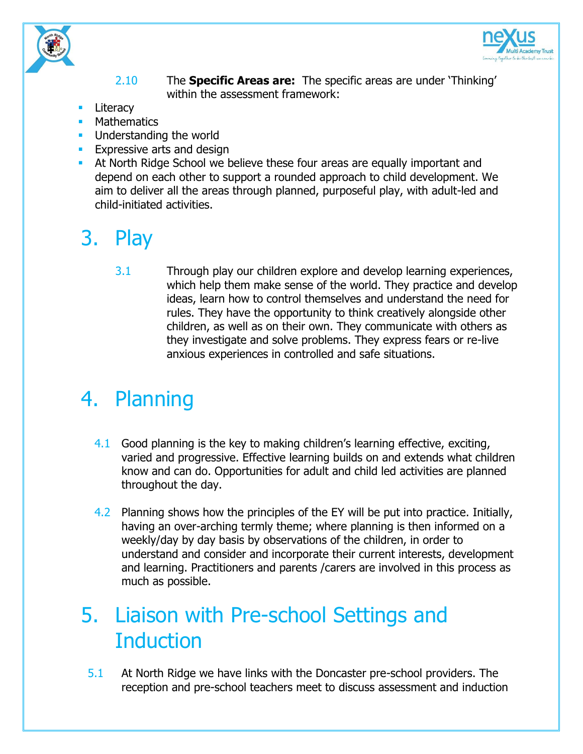



#### 2.10 The **Specific Areas are:** The specific areas are under 'Thinking' within the assessment framework:

- Literacy
- **Mathematics**
- Understanding the world
- **EXPLERE** Expressive arts and design
- At North Ridge School we believe these four areas are equally important and depend on each other to support a rounded approach to child development. We aim to deliver all the areas through planned, purposeful play, with adult-led and child-initiated activities.

# 3. Play

3.1 Through play our children explore and develop learning experiences, which help them make sense of the world. They practice and develop ideas, learn how to control themselves and understand the need for rules. They have the opportunity to think creatively alongside other children, as well as on their own. They communicate with others as they investigate and solve problems. They express fears or re-live anxious experiences in controlled and safe situations.

# 4. Planning

- 4.1 Good planning is the key to making children's learning effective, exciting, varied and progressive. Effective learning builds on and extends what children know and can do. Opportunities for adult and child led activities are planned throughout the day.
- 4.2 Planning shows how the principles of the EY will be put into practice. Initially, having an over-arching termly theme; where planning is then informed on a weekly/day by day basis by observations of the children, in order to understand and consider and incorporate their current interests, development and learning. Practitioners and parents /carers are involved in this process as much as possible.

## 5. Liaison with Pre-school Settings and **Induction**

5.1 At North Ridge we have links with the Doncaster pre-school providers. The reception and pre-school teachers meet to discuss assessment and induction